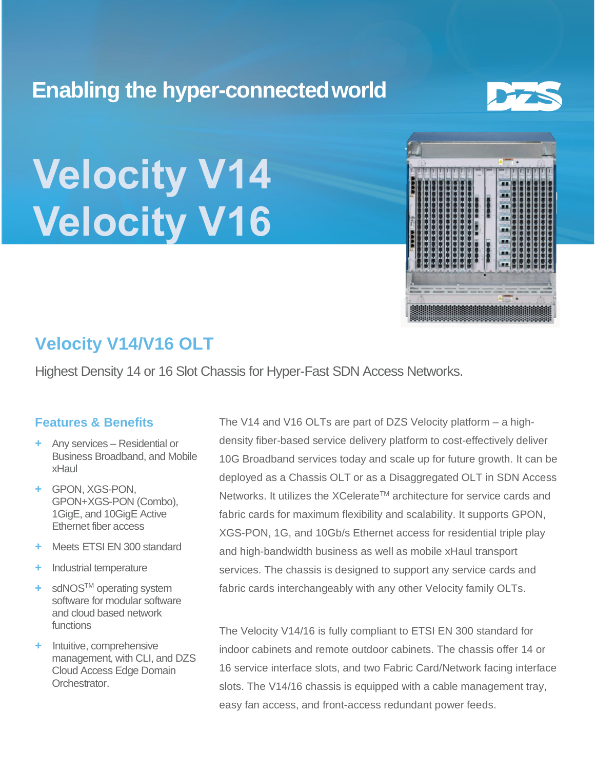# **Enabling the hyper-connectedworld**



# **Velocity V14 Velocity V16**



## **Velocity V14/V16 OLT**

Highest Density 14 or 16 Slot Chassis for Hyper-Fast SDN Access Networks.

## **Features & Benefits**

- **+** Any services Residential or Business Broadband, and Mobile xHaul
- **+** GPON, XGS-PON, GPON+XGS-PON (Combo), 1GigE, and 10GigE Active Ethernet fiber access
- **+** Meets ETSI EN 300 standard
- **+** Industrial temperature
- **+** sdNOSTM operating system software for modular software and cloud based network functions
- **+** Intuitive, comprehensive management, with CLI, and DZS Cloud Access Edge Domain Orchestrator.

The V14 and V16 OLTs are part of DZS Velocity platform – a highdensity fiber-based service delivery platform to cost-effectively deliver 10G Broadband services today and scale up for future growth. It can be deployed as a Chassis OLT or as a Disaggregated OLT in SDN Access Networks. It utilizes the XCelerate™ architecture for service cards and fabric cards for maximum flexibility and scalability. It supports GPON, XGS-PON, 1G, and 10Gb/s Ethernet access for residential triple play and high-bandwidth business as well as mobile xHaul transport services. The chassis is designed to support any service cards and fabric cards interchangeably with any other Velocity family OLTs.

The Velocity V14/16 is fully compliant to ETSI EN 300 standard for indoor cabinets and remote outdoor cabinets. The chassis offer 14 or 16 service interface slots, and two Fabric Card/Network facing interface slots. The V14/16 chassis is equipped with a cable management tray, easy fan access, and front-access redundant power feeds.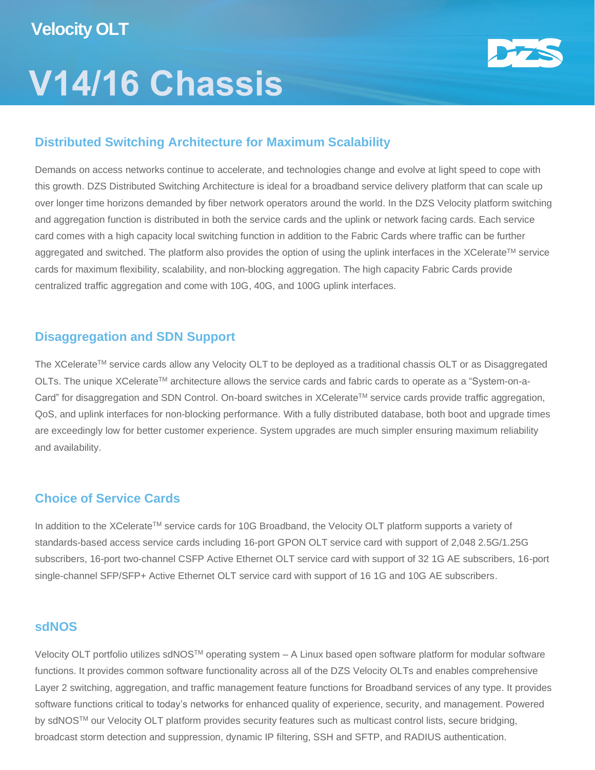# **V14/16 Chassis**



## **Distributed Switching Architecture for Maximum Scalability**

Demands on access networks continue to accelerate, and technologies change and evolve at light speed to cope with this growth. DZS Distributed Switching Architecture is ideal for a broadband service delivery platform that can scale up over longer time horizons demanded by fiber network operators around the world. In the DZS Velocity platform switching and aggregation function is distributed in both the service cards and the uplink or network facing cards. Each service card comes with a high capacity local switching function in addition to the Fabric Cards where traffic can be further aggregated and switched. The platform also provides the option of using the uplink interfaces in the XCelerate™ service cards for maximum flexibility, scalability, and non-blocking aggregation. The high capacity Fabric Cards provide centralized traffic aggregation and come with 10G, 40G, and 100G uplink interfaces.

### **Disaggregation and SDN Support**

The XCelerate™ service cards allow any Velocity OLT to be deployed as a traditional chassis OLT or as Disaggregated OLTs. The unique XCelerateTM architecture allows the service cards and fabric cards to operate as a "System-on-a-Card" for disaggregation and SDN Control. On-board switches in XCelerate™ service cards provide traffic aggregation, QoS, and uplink interfaces for non-blocking performance. With a fully distributed database, both boot and upgrade times are exceedingly low for better customer experience. System upgrades are much simpler ensuring maximum reliability and availability.

## **Choice of Service Cards**

In addition to the XCelerate™ service cards for 10G Broadband, the Velocity OLT platform supports a variety of standards-based access service cards including 16-port GPON OLT service card with support of 2,048 2.5G/1.25G subscribers, 16-port two-channel CSFP Active Ethernet OLT service card with support of 32 1G AE subscribers, 16-port single-channel SFP/SFP+ Active Ethernet OLT service card with support of 16 1G and 10G AE subscribers.

### **sdNOS**

Velocity OLT portfolio utilizes sdNOSTM operating system – A Linux based open software platform for modular software functions. It provides common software functionality across all of the DZS Velocity OLTs and enables comprehensive Layer 2 switching, aggregation, and traffic management feature functions for Broadband services of any type. It provides software functions critical to today's networks for enhanced quality of experience, security, and management. Powered by sdNOS™ our Velocity OLT platform provides security features such as multicast control lists, secure bridging, broadcast storm detection and suppression, dynamic IP filtering, SSH and SFTP, and RADIUS authentication.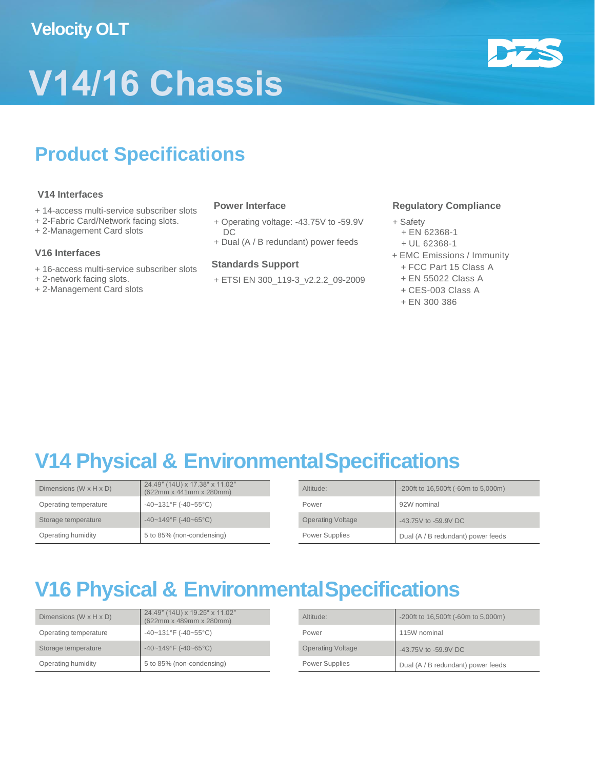## **Velocity OLT**





# **Product Specifications**

#### **V14 Interfaces**

- + 14-access multi-service subscriber slots
- + 2-Fabric Card/Network facing slots.
- + 2-Management Card slots

#### **V16 Interfaces**

- + 16-access multi-service subscriber slots
- + 2-network facing slots.
- + 2-Management Card slots

#### **Power Interface**

- + Operating voltage: -43.75V to -59.9V DC
- + Dual (A / B redundant) power feeds

#### **Standards Support**

+ ETSI EN 300\_119-3\_v2.2.2\_09-2009

#### **Regulatory Compliance**

- + Safety
- + EN 62368-1
- + UL 62368-1
- + EMC Emissions / Immunity
	- + FCC Part 15 Class A
	- + EN 55022 Class A
	- + CES-003 Class A
	- + EN 300 386

# **V14 Physical & EnvironmentalSpecifications**

| Dimensions $(W \times H \times D)$ | 24.49" (14U) x 17.38" x 11.02"<br>(622mm x 441mm x 280mm) | Altitude:                | -200ft to 16,500ft (-60m to 5,000m) |
|------------------------------------|-----------------------------------------------------------|--------------------------|-------------------------------------|
| Operating temperature              | -40~131°F (-40~55°C)                                      | Power                    | 92W nominal                         |
| Storage temperature                | $-40 - 149$ °F (-40~65°C)                                 | <b>Operating Voltage</b> | -43.75V to -59.9V DC                |
| Operating humidity                 | 5 to 85% (non-condensing)                                 | Power Supplies           | Dual (A / B redundant) power feeds  |

# **V16 Physical & EnvironmentalSpecifications**

| Dimensions $(W \times H \times D)$ | 24.49" (14U) x 19.25" x 11.02"<br>$(622mm \times 489mm \times 280mm)$ | Altitude:                | $-200$ ft to 16,500ft ( $-60$ m to 5,000m) |
|------------------------------------|-----------------------------------------------------------------------|--------------------------|--------------------------------------------|
| Operating temperature              | $-40-131$ °F (-40~55°C)                                               | Power                    | 115W nominal                               |
| Storage temperature                | $-40 - 149$ °F (-40~65°C)                                             | <b>Operating Voltage</b> | -43.75V to -59.9V DC                       |
| Operating humidity                 | 5 to 85% (non-condensing)                                             | <b>Power Supplies</b>    | Dual (A / B redundant) power feeds         |